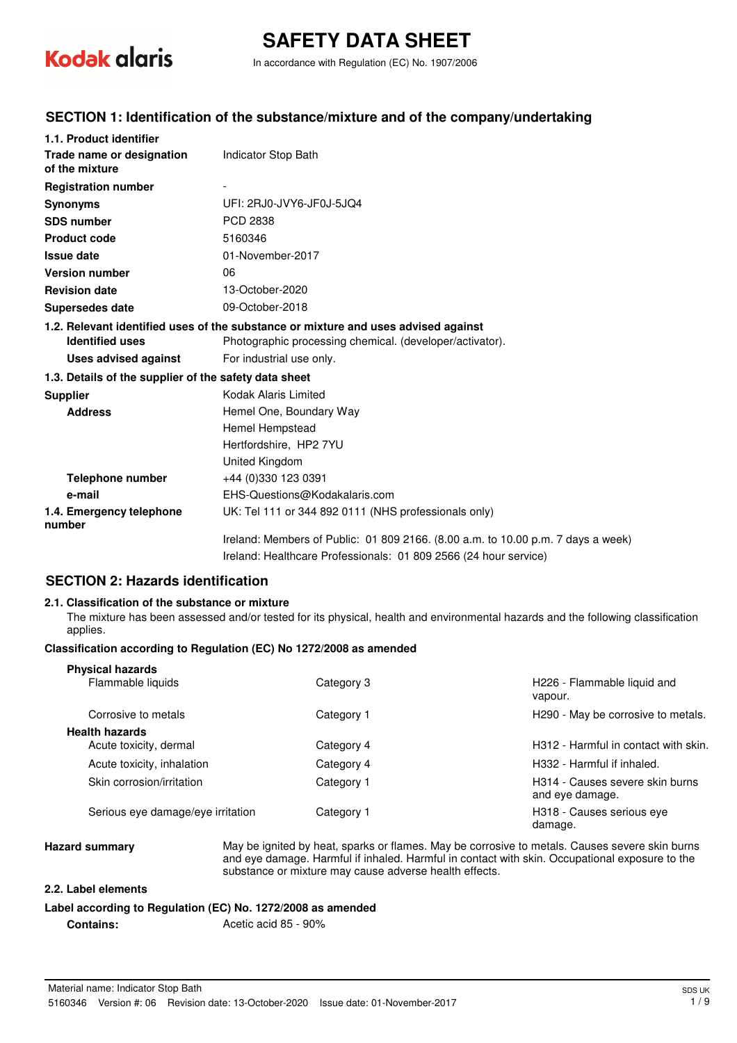

# **SAFETY DATA SHEET**

In accordance with Regulation (EC) No. 1907/2006

### **SECTION 1: Identification of the substance/mixture and of the company/undertaking**

| 1.1. Product identifier                               |                                                                                    |
|-------------------------------------------------------|------------------------------------------------------------------------------------|
| Trade name or designation<br>of the mixture           | Indicator Stop Bath                                                                |
| <b>Registration number</b>                            |                                                                                    |
| <b>Synonyms</b>                                       | UFI: 2RJ0-JVY6-JF0J-5JQ4                                                           |
| <b>SDS number</b>                                     | <b>PCD 2838</b>                                                                    |
| <b>Product code</b>                                   | 5160346                                                                            |
| <b>Issue date</b>                                     | 01-November-2017                                                                   |
| <b>Version number</b>                                 | 06                                                                                 |
| <b>Revision date</b>                                  | 13-October-2020                                                                    |
| Supersedes date                                       | 09-October-2018                                                                    |
|                                                       | 1.2. Relevant identified uses of the substance or mixture and uses advised against |
| <b>Identified uses</b>                                | Photographic processing chemical. (developer/activator).                           |
| Uses advised against                                  | For industrial use only.                                                           |
| 1.3. Details of the supplier of the safety data sheet |                                                                                    |
| <b>Supplier</b>                                       | Kodak Alaris Limited                                                               |
| <b>Address</b>                                        | Hemel One, Boundary Way                                                            |
|                                                       | Hemel Hempstead                                                                    |
|                                                       | Hertfordshire, HP2 7YU                                                             |
|                                                       | United Kingdom                                                                     |
| <b>Telephone number</b>                               | +44 (0)330 123 0391                                                                |
| e-mail                                                | EHS-Questions@Kodakalaris.com                                                      |
| 1.4. Emergency telephone<br>number                    | UK: Tel 111 or 344 892 0111 (NHS professionals only)                               |
|                                                       | Ireland: Members of Public: 01 809 2166. (8.00 a.m. to 10.00 p.m. 7 days a week)   |
|                                                       | Ireland: Healthcare Professionals: 01 809 2566 (24 hour service)                   |

### **SECTION 2: Hazards identification**

### **2.1. Classification of the substance or mixture**

The mixture has been assessed and/or tested for its physical, health and environmental hazards and the following classification applies.

### **Classification according to Regulation (EC) No 1272/2008 as amended**

| Physical nazards                                |            |                                                    |
|-------------------------------------------------|------------|----------------------------------------------------|
| Flammable liquids                               | Category 3 | H226 - Flammable liquid and<br>vapour.             |
| Corrosive to metals                             | Category 1 | H290 - May be corrosive to metals.                 |
| <b>Health hazards</b><br>Acute toxicity, dermal | Category 4 | H312 - Harmful in contact with skin.               |
| Acute toxicity, inhalation                      | Category 4 | H332 - Harmful if inhaled.                         |
| Skin corrosion/irritation                       | Category 1 | H314 - Causes severe skin burns<br>and eye damage. |
| Serious eye damage/eye irritation               | Category 1 | H318 - Causes serious eve<br>damage.               |

**Physical hazards**

**Hazard summary** May be ignited by heat, sparks or flames. May be corrosive to metals. Causes severe skin burns and eye damage. Harmful if inhaled. Harmful in contact with skin. Occupational exposure to the substance or mixture may cause adverse health effects.

### **2.2. Label elements**

#### **Label according to Regulation (EC) No. 1272/2008 as amended**

**Contains:** Acetic acid 85 - 90%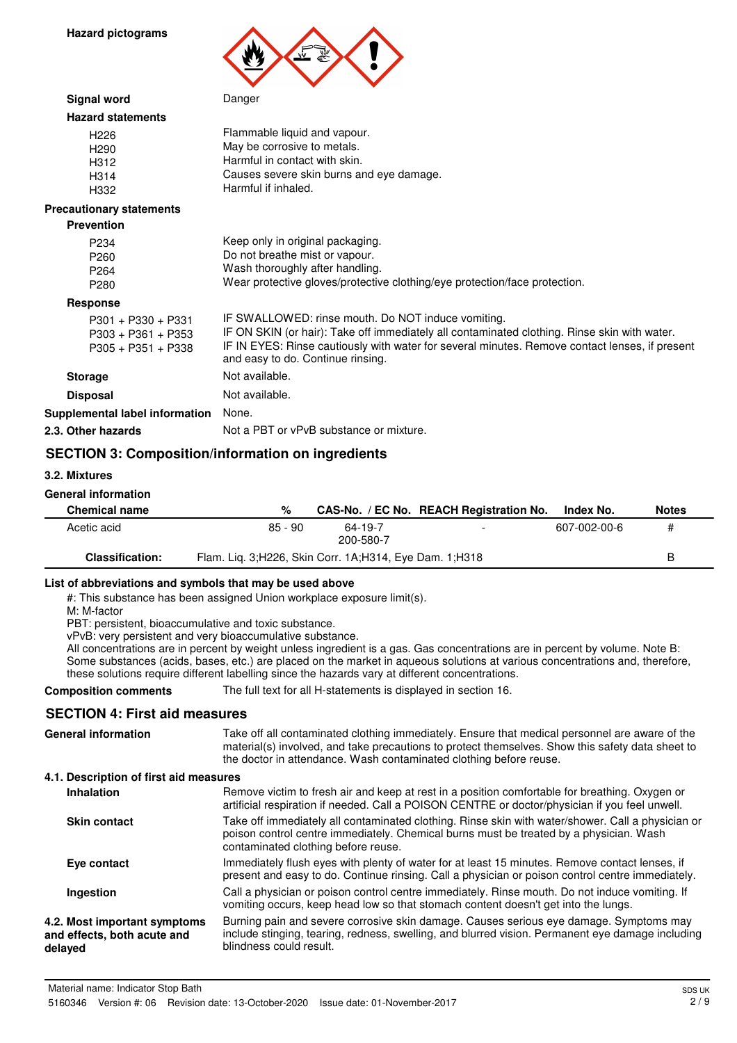**Hazard pictograms**



**Signal word** Danger

| Flammable liquid and vapour.             |
|------------------------------------------|
| May be corrosive to metals.              |
| Harmful in contact with skin.            |
| Causes severe skin burns and eye damage. |
| Harmful if inhaled.                      |
|                                          |

### **Precautionary statements**

| <b>Prevention</b>                                                    |                                                                                                                                                                                                                                                                                           |
|----------------------------------------------------------------------|-------------------------------------------------------------------------------------------------------------------------------------------------------------------------------------------------------------------------------------------------------------------------------------------|
| P <sub>2</sub> 34                                                    | Keep only in original packaging.                                                                                                                                                                                                                                                          |
| P <sub>260</sub>                                                     | Do not breathe mist or vapour.                                                                                                                                                                                                                                                            |
| P <sub>264</sub>                                                     | Wash thoroughly after handling.                                                                                                                                                                                                                                                           |
| P <sub>280</sub>                                                     | Wear protective gloves/protective clothing/eye protection/face protection.                                                                                                                                                                                                                |
| <b>Response</b>                                                      |                                                                                                                                                                                                                                                                                           |
| $P301 + P330 + P331$<br>$P303 + P361 + P353$<br>$P305 + P351 + P338$ | IF SWALLOWED: rinse mouth. Do NOT induce vomiting.<br>IF ON SKIN (or hair): Take off immediately all contaminated clothing. Rinse skin with water.<br>IF IN EYES: Rinse cautiously with water for several minutes. Remove contact lenses, if present<br>and easy to do. Continue rinsing. |
| <b>Storage</b>                                                       | Not available.                                                                                                                                                                                                                                                                            |
| <b>Disposal</b>                                                      | Not available.                                                                                                                                                                                                                                                                            |
| Supplemental label information                                       | None.                                                                                                                                                                                                                                                                                     |
| 2.3. Other hazards                                                   | Not a PBT or vPvB substance or mixture.                                                                                                                                                                                                                                                   |
|                                                                      |                                                                                                                                                                                                                                                                                           |

## **SECTION 3: Composition/information on ingredients**

#### **3.2. Mixtures**

#### **General information**

| <b>Chemical name</b>   | %                                                      |                      | CAS-No. / EC No. REACH Registration No. | Index No.    | <b>Notes</b> |
|------------------------|--------------------------------------------------------|----------------------|-----------------------------------------|--------------|--------------|
| Acetic acid            | $85 - 90$                                              | 64-19-7<br>200-580-7 | $\overline{\phantom{0}}$                | 607-002-00-6 | #            |
| <b>Classification:</b> | Flam. Lig. 3;H226, Skin Corr. 1A;H314, Eye Dam. 1;H318 |                      |                                         |              | В            |

### **List of abbreviations and symbols that may be used above**

#: This substance has been assigned Union workplace exposure limit(s).

M: M-factor

PBT: persistent, bioaccumulative and toxic substance.

vPvB: very persistent and very bioaccumulative substance.

All concentrations are in percent by weight unless ingredient is a gas. Gas concentrations are in percent by volume. Note B: Some substances (acids, bases, etc.) are placed on the market in aqueous solutions at various concentrations and, therefore, these solutions require different labelling since the hazards vary at different concentrations.

**Composition comments** The full text for all H-statements is displayed in section 16.

# **SECTION 4: First aid measures**

| SECTION 4: First aid measures                                          |                                                                                                                                                                                                                                                                          |
|------------------------------------------------------------------------|--------------------------------------------------------------------------------------------------------------------------------------------------------------------------------------------------------------------------------------------------------------------------|
| <b>General information</b>                                             | Take off all contaminated clothing immediately. Ensure that medical personnel are aware of the<br>material(s) involved, and take precautions to protect themselves. Show this safety data sheet to<br>the doctor in attendance. Wash contaminated clothing before reuse. |
| 4.1. Description of first aid measures                                 |                                                                                                                                                                                                                                                                          |
| <b>Inhalation</b>                                                      | Remove victim to fresh air and keep at rest in a position comfortable for breathing. Oxygen or<br>artificial respiration if needed. Call a POISON CENTRE or doctor/physician if you feel unwell.                                                                         |
| <b>Skin contact</b>                                                    | Take off immediately all contaminated clothing. Rinse skin with water/shower. Call a physician or<br>poison control centre immediately. Chemical burns must be treated by a physician. Wash<br>contaminated clothing before reuse.                                       |
| Eye contact                                                            | Immediately flush eyes with plenty of water for at least 15 minutes. Remove contact lenses, if<br>present and easy to do. Continue rinsing. Call a physician or poison control centre immediately.                                                                       |
| Ingestion                                                              | Call a physician or poison control centre immediately. Rinse mouth. Do not induce vomiting. If<br>vomiting occurs, keep head low so that stomach content doesn't get into the lungs.                                                                                     |
| 4.2. Most important symptoms<br>and effects, both acute and<br>delaved | Burning pain and severe corrosive skin damage. Causes serious eye damage. Symptoms may<br>include stinging, tearing, redness, swelling, and blurred vision. Permanent eye damage including<br>blindness could result.                                                    |
|                                                                        |                                                                                                                                                                                                                                                                          |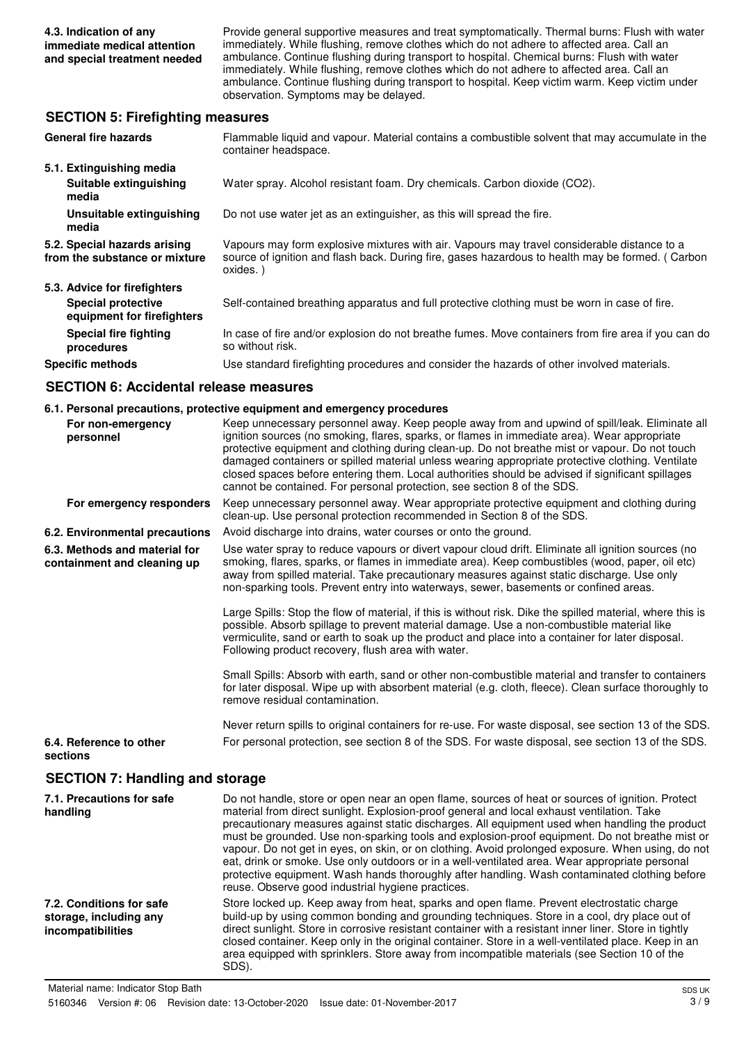Provide general supportive measures and treat symptomatically. Thermal burns: Flush with water immediately. While flushing, remove clothes which do not adhere to affected area. Call an ambulance. Continue flushing during transport to hospital. Chemical burns: Flush with water immediately. While flushing, remove clothes which do not adhere to affected area. Call an ambulance. Continue flushing during transport to hospital. Keep victim warm. Keep victim under observation. Symptoms may be delayed.

### **SECTION 5: Firefighting measures**

| <b>General fire hazards</b>                                   | Flammable liquid and vapour. Material contains a combustible solvent that may accumulate in the<br>container headspace.                                                                                     |
|---------------------------------------------------------------|-------------------------------------------------------------------------------------------------------------------------------------------------------------------------------------------------------------|
| 5.1. Extinguishing media                                      |                                                                                                                                                                                                             |
| Suitable extinguishing<br>media                               | Water spray. Alcohol resistant foam. Dry chemicals. Carbon dioxide (CO2).                                                                                                                                   |
| Unsuitable extinguishing<br>media                             | Do not use water jet as an extinguisher, as this will spread the fire.                                                                                                                                      |
| 5.2. Special hazards arising<br>from the substance or mixture | Vapours may form explosive mixtures with air. Vapours may travel considerable distance to a<br>source of ignition and flash back. During fire, gases hazardous to health may be formed. (Carbon<br>oxides.) |
| 5.3. Advice for firefighters                                  |                                                                                                                                                                                                             |
| <b>Special protective</b><br>equipment for firefighters       | Self-contained breathing apparatus and full protective clothing must be worn in case of fire.                                                                                                               |
| Special fire fighting<br>procedures                           | In case of fire and/or explosion do not breathe fumes. Move containers from fire area if you can do<br>so without risk.                                                                                     |
| <b>Specific methods</b>                                       | Use standard firefighting procedures and consider the hazards of other involved materials.                                                                                                                  |

### **SECTION 6: Accidental release measures**

### **6.1. Personal precautions, protective equipment and emergency procedures**

| For non-emergency<br>personnel                                          | Keep unnecessary personnel away. Keep people away from and upwind of spill/leak. Eliminate all<br>ignition sources (no smoking, flares, sparks, or flames in immediate area). Wear appropriate<br>protective equipment and clothing during clean-up. Do not breathe mist or vapour. Do not touch<br>damaged containers or spilled material unless wearing appropriate protective clothing. Ventilate<br>closed spaces before entering them. Local authorities should be advised if significant spillages<br>cannot be contained. For personal protection, see section 8 of the SDS.                                                                                                                                                                             |
|-------------------------------------------------------------------------|-----------------------------------------------------------------------------------------------------------------------------------------------------------------------------------------------------------------------------------------------------------------------------------------------------------------------------------------------------------------------------------------------------------------------------------------------------------------------------------------------------------------------------------------------------------------------------------------------------------------------------------------------------------------------------------------------------------------------------------------------------------------|
| For emergency responders                                                | Keep unnecessary personnel away. Wear appropriate protective equipment and clothing during<br>clean-up. Use personal protection recommended in Section 8 of the SDS.                                                                                                                                                                                                                                                                                                                                                                                                                                                                                                                                                                                            |
| 6.2. Environmental precautions                                          | Avoid discharge into drains, water courses or onto the ground.                                                                                                                                                                                                                                                                                                                                                                                                                                                                                                                                                                                                                                                                                                  |
| 6.3. Methods and material for<br>containment and cleaning up            | Use water spray to reduce vapours or divert vapour cloud drift. Eliminate all ignition sources (no<br>smoking, flares, sparks, or flames in immediate area). Keep combustibles (wood, paper, oil etc)<br>away from spilled material. Take precautionary measures against static discharge. Use only<br>non-sparking tools. Prevent entry into waterways, sewer, basements or confined areas.                                                                                                                                                                                                                                                                                                                                                                    |
|                                                                         | Large Spills: Stop the flow of material, if this is without risk. Dike the spilled material, where this is<br>possible. Absorb spillage to prevent material damage. Use a non-combustible material like<br>vermiculite, sand or earth to soak up the product and place into a container for later disposal.<br>Following product recovery, flush area with water.                                                                                                                                                                                                                                                                                                                                                                                               |
|                                                                         | Small Spills: Absorb with earth, sand or other non-combustible material and transfer to containers<br>for later disposal. Wipe up with absorbent material (e.g. cloth, fleece). Clean surface thoroughly to<br>remove residual contamination.                                                                                                                                                                                                                                                                                                                                                                                                                                                                                                                   |
|                                                                         | Never return spills to original containers for re-use. For waste disposal, see section 13 of the SDS.                                                                                                                                                                                                                                                                                                                                                                                                                                                                                                                                                                                                                                                           |
| 6.4. Reference to other<br>sections                                     | For personal protection, see section 8 of the SDS. For waste disposal, see section 13 of the SDS.                                                                                                                                                                                                                                                                                                                                                                                                                                                                                                                                                                                                                                                               |
| <b>SECTION 7: Handling and storage</b>                                  |                                                                                                                                                                                                                                                                                                                                                                                                                                                                                                                                                                                                                                                                                                                                                                 |
| 7.1. Precautions for safe<br>handling                                   | Do not handle, store or open near an open flame, sources of heat or sources of ignition. Protect<br>material from direct sunlight. Explosion-proof general and local exhaust ventilation. Take<br>precautionary measures against static discharges. All equipment used when handling the product<br>must be grounded. Use non-sparking tools and explosion-proof equipment. Do not breathe mist or<br>vapour. Do not get in eyes, on skin, or on clothing. Avoid prolonged exposure. When using, do not<br>eat, drink or smoke. Use only outdoors or in a well-ventilated area. Wear appropriate personal<br>protective equipment. Wash hands thoroughly after handling. Wash contaminated clothing before<br>reuse. Observe good industrial hygiene practices. |
| 7.2. Conditions for safe<br>storage, including any<br>incompatibilities | Store locked up. Keep away from heat, sparks and open flame. Prevent electrostatic charge<br>build-up by using common bonding and grounding techniques. Store in a cool, dry place out of<br>direct sunlight. Store in corrosive resistant container with a resistant inner liner. Store in tightly<br>closed container. Keep only in the original container. Store in a well-ventilated place. Keep in an<br>area equipped with sprinklers. Store away from incompatible materials (see Section 10 of the                                                                                                                                                                                                                                                      |

SDS).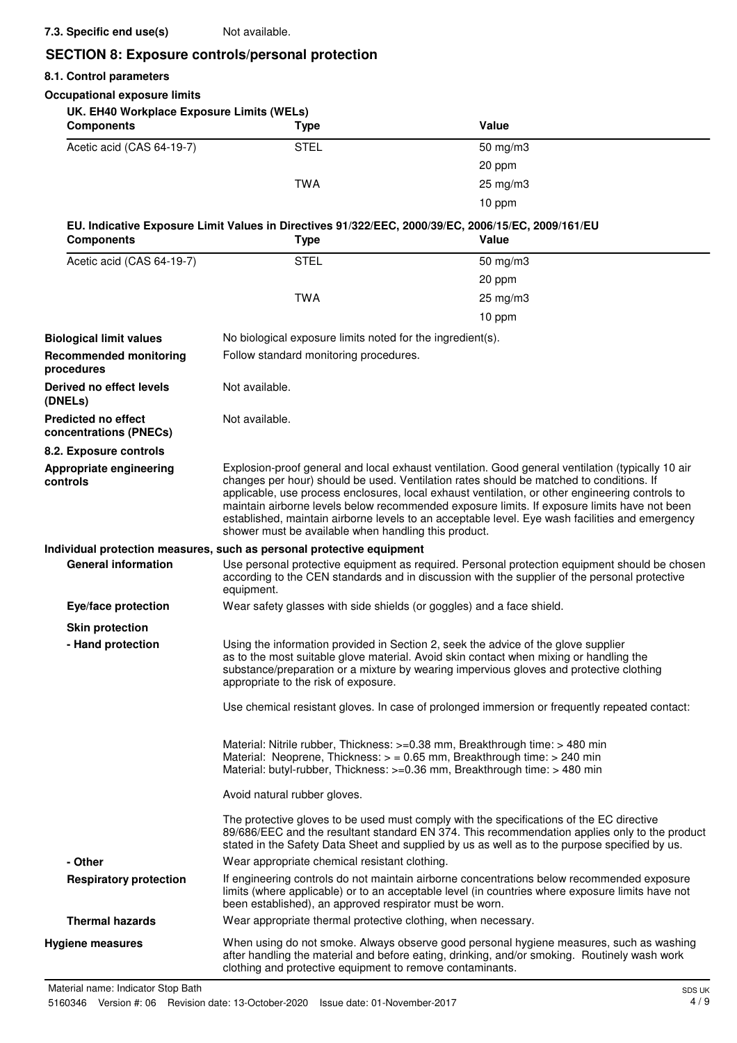### **7.3. Specific end use(s)** Not available.

### **SECTION 8: Exposure controls/personal protection 8.1. Control parameters Occupational exposure limits UK. EH40 Workplace Exposure Limits (WELs) Components Type Value** Acetic acid (CAS 64-19-7) STEL 50 mg/m3 20 ppm TWA 25 mg/m3 10 ppm **EU. Indicative Exposure Limit Values in Directives 91/322/EEC, 2000/39/EC, 2006/15/EC, 2009/161/EU Components Type Value** Acetic acid (CAS 64-19-7) STEL 50 mg/m3 20 ppm TWA 25 mg/m3 10 ppm **Biological limit values** No biological exposure limits noted for the ingredient(s). **Recommended monitoring** Follow standard monitoring procedures. **procedures Derived no effect levels** Not available. **(DNELs) Predicted no effect concentrations (PNECs)** Not available. **8.2. Exposure controls** Explosion-proof general and local exhaust ventilation. Good general ventilation (typically 10 air changes per hour) should be used. Ventilation rates should be matched to conditions. If applicable, use process enclosures, local exhaust ventilation, or other engineering controls to maintain airborne levels below recommended exposure limits. If exposure limits have not been established, maintain airborne levels to an acceptable level. Eye wash facilities and emergency shower must be available when handling this product. **Appropriate engineering controls Individual protection measures, such as personal protective equipment** Use personal protective equipment as required. Personal protection equipment should be chosen according to the CEN standards and in discussion with the supplier of the personal protective equipment. **General information Eye/face protection** Wear safety glasses with side shields (or goggles) and a face shield. **Skin protection** Using the information provided in Section 2, seek the advice of the glove supplier as to the most suitable glove material. Avoid skin contact when mixing or handling the substance/preparation or a mixture by wearing impervious gloves and protective clothing appropriate to the risk of exposure. Use chemical resistant gloves. In case of prolonged immersion or frequently repeated contact: Material: Nitrile rubber, Thickness: >=0.38 mm, Breakthrough time: > 480 min Material: Neoprene, Thickness: > = 0.65 mm, Breakthrough time: > 240 min Material: butyl-rubber, Thickness: >=0.36 mm, Breakthrough time: > 480 min Avoid natural rubber gloves. The protective gloves to be used must comply with the specifications of the EC directive 89/686/EEC and the resultant standard EN 374. This recommendation applies only to the product stated in the Safety Data Sheet and supplied by us as well as to the purpose specified by us. **- Hand protection - Other** Wear appropriate chemical resistant clothing. If engineering controls do not maintain airborne concentrations below recommended exposure limits (where applicable) or to an acceptable level (in countries where exposure limits have not been established), an approved respirator must be worn. **Respiratory protection Thermal hazards** Wear appropriate thermal protective clothing, when necessary.

When using do not smoke. Always observe good personal hygiene measures, such as washing after handling the material and before eating, drinking, and/or smoking. Routinely wash work clothing and protective equipment to remove contaminants. **Hygiene measures**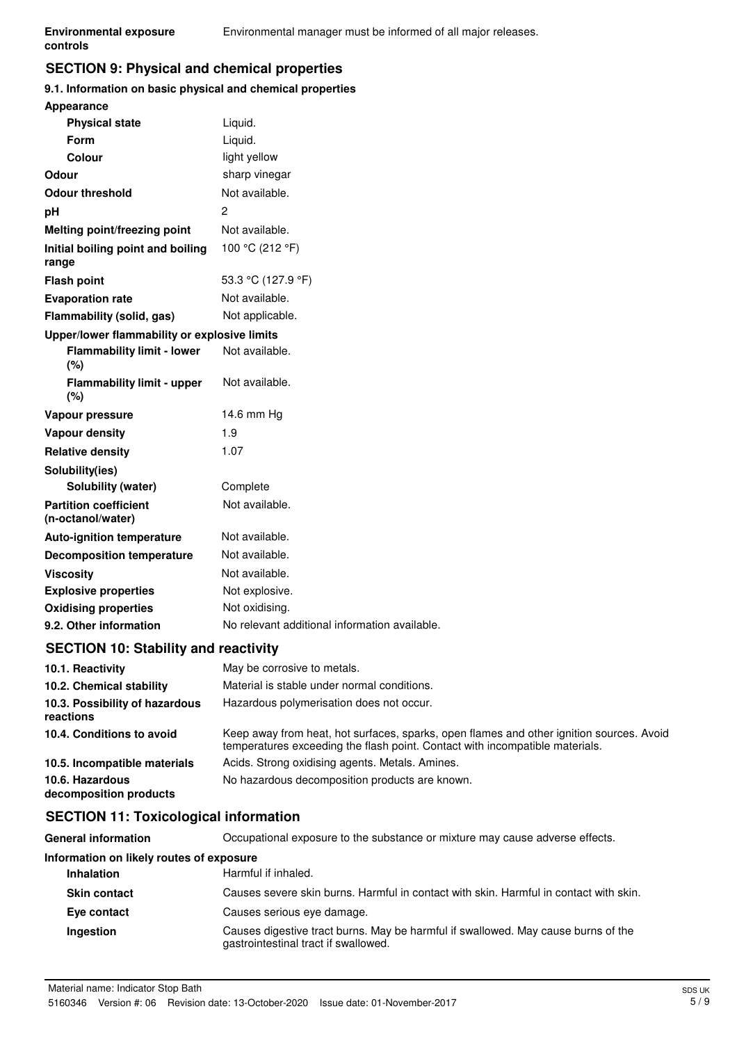# **SECTION 9: Physical and chemical properties**

### **9.1. Information on basic physical and chemical properties**

| Appearance                                        |                                               |  |
|---------------------------------------------------|-----------------------------------------------|--|
| <b>Physical state</b>                             | Liquid.                                       |  |
| <b>Form</b>                                       | Liquid.                                       |  |
| Colour                                            | light yellow                                  |  |
| Odour                                             | sharp vinegar                                 |  |
| <b>Odour threshold</b>                            | Not available.                                |  |
| рH                                                | 2                                             |  |
| Melting point/freezing point                      | Not available.                                |  |
| Initial boiling point and boiling<br>range        | 100 °C (212 °F)                               |  |
| <b>Flash point</b>                                | 53.3 °C (127.9 °F)                            |  |
| <b>Evaporation rate</b>                           | Not available.                                |  |
| Flammability (solid, gas)                         | Not applicable.                               |  |
| Upper/lower flammability or explosive limits      |                                               |  |
| <b>Flammability limit - lower</b><br>(%)          | Not available.                                |  |
| <b>Flammability limit - upper</b><br>(%)          | Not available.                                |  |
| Vapour pressure                                   | 14.6 mm Hg                                    |  |
| <b>Vapour density</b>                             | 1.9                                           |  |
| <b>Relative density</b>                           | 1.07                                          |  |
| Solubility(ies)                                   |                                               |  |
| Solubility (water)                                | Complete                                      |  |
| <b>Partition coefficient</b><br>(n-octanol/water) | Not available.                                |  |
| <b>Auto-ignition temperature</b>                  | Not available.                                |  |
| <b>Decomposition temperature</b>                  | Not available.                                |  |
| <b>Viscosity</b>                                  | Not available.                                |  |
| <b>Explosive properties</b>                       | Not explosive.                                |  |
| <b>Oxidising properties</b>                       | Not oxidising.                                |  |
| 9.2. Other information                            | No relevant additional information available. |  |
|                                                   |                                               |  |

### **SECTION 10: Stability and reactivity**

| 10.1. Reactivity                            | May be corrosive to metals.                                                                                                                                              |
|---------------------------------------------|--------------------------------------------------------------------------------------------------------------------------------------------------------------------------|
| 10.2. Chemical stability                    | Material is stable under normal conditions.                                                                                                                              |
| 10.3. Possibility of hazardous<br>reactions | Hazardous polymerisation does not occur.                                                                                                                                 |
| 10.4. Conditions to avoid                   | Keep away from heat, hot surfaces, sparks, open flames and other ignition sources. Avoid<br>temperatures exceeding the flash point. Contact with incompatible materials. |
| 10.5. Incompatible materials                | Acids. Strong oxidising agents. Metals. Amines.                                                                                                                          |
| 10.6. Hazardous<br>decomposition products   | No hazardous decomposition products are known.                                                                                                                           |

# **SECTION 11: Toxicological information**

| <b>General information</b>               | Occupational exposure to the substance or mixture may cause adverse effects.                                              |  |
|------------------------------------------|---------------------------------------------------------------------------------------------------------------------------|--|
| Information on likely routes of exposure |                                                                                                                           |  |
| Inhalation                               | Harmful if inhaled.                                                                                                       |  |
| <b>Skin contact</b>                      | Causes severe skin burns. Harmful in contact with skin. Harmful in contact with skin.                                     |  |
| Eye contact                              | Causes serious eye damage.                                                                                                |  |
| Ingestion                                | Causes digestive tract burns. May be harmful if swallowed. May cause burns of the<br>gastrointestinal tract if swallowed. |  |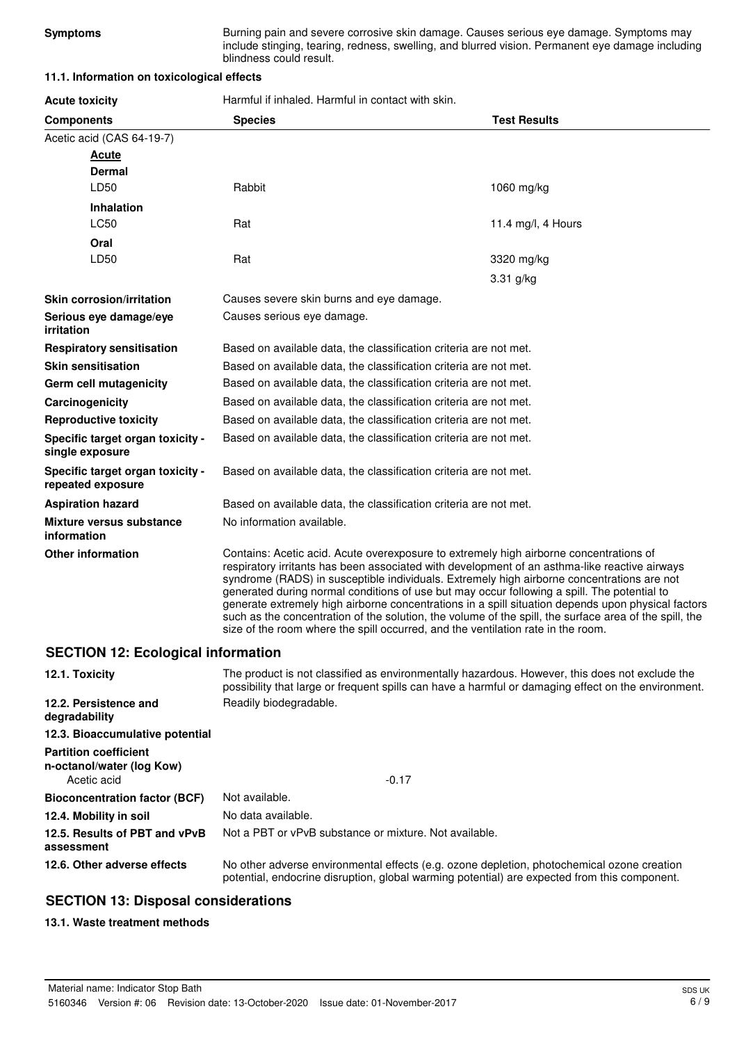**Symptoms** Burning pain and severe corrosive skin damage. Causes serious eye damage. Symptoms may include stinging, tearing, redness, swelling, and blurred vision. Permanent eye damage including blindness could result.

### **11.1. Information on toxicological effects**

| <b>Acute toxicity</b>                                                    | Harmful if inhaled. Harmful in contact with skin.<br><b>Test Results</b><br><b>Species</b>                                                                                                                                                                                                                                                                                                                                                                                                                                                                                                                                                                                               |                    |  |
|--------------------------------------------------------------------------|------------------------------------------------------------------------------------------------------------------------------------------------------------------------------------------------------------------------------------------------------------------------------------------------------------------------------------------------------------------------------------------------------------------------------------------------------------------------------------------------------------------------------------------------------------------------------------------------------------------------------------------------------------------------------------------|--------------------|--|
| <b>Components</b>                                                        |                                                                                                                                                                                                                                                                                                                                                                                                                                                                                                                                                                                                                                                                                          |                    |  |
| Acetic acid (CAS 64-19-7)                                                |                                                                                                                                                                                                                                                                                                                                                                                                                                                                                                                                                                                                                                                                                          |                    |  |
| <b>Acute</b>                                                             |                                                                                                                                                                                                                                                                                                                                                                                                                                                                                                                                                                                                                                                                                          |                    |  |
| Dermal                                                                   |                                                                                                                                                                                                                                                                                                                                                                                                                                                                                                                                                                                                                                                                                          |                    |  |
| LD50                                                                     | Rabbit                                                                                                                                                                                                                                                                                                                                                                                                                                                                                                                                                                                                                                                                                   | 1060 mg/kg         |  |
| Inhalation                                                               |                                                                                                                                                                                                                                                                                                                                                                                                                                                                                                                                                                                                                                                                                          |                    |  |
| LC50                                                                     | Rat                                                                                                                                                                                                                                                                                                                                                                                                                                                                                                                                                                                                                                                                                      | 11.4 mg/l, 4 Hours |  |
| Oral                                                                     |                                                                                                                                                                                                                                                                                                                                                                                                                                                                                                                                                                                                                                                                                          |                    |  |
| LD50                                                                     | Rat                                                                                                                                                                                                                                                                                                                                                                                                                                                                                                                                                                                                                                                                                      | 3320 mg/kg         |  |
|                                                                          |                                                                                                                                                                                                                                                                                                                                                                                                                                                                                                                                                                                                                                                                                          | 3.31 g/kg          |  |
| <b>Skin corrosion/irritation</b>                                         | Causes severe skin burns and eye damage.                                                                                                                                                                                                                                                                                                                                                                                                                                                                                                                                                                                                                                                 |                    |  |
| Serious eye damage/eye<br>irritation                                     | Causes serious eye damage.                                                                                                                                                                                                                                                                                                                                                                                                                                                                                                                                                                                                                                                               |                    |  |
| <b>Respiratory sensitisation</b>                                         | Based on available data, the classification criteria are not met.                                                                                                                                                                                                                                                                                                                                                                                                                                                                                                                                                                                                                        |                    |  |
| <b>Skin sensitisation</b>                                                | Based on available data, the classification criteria are not met.                                                                                                                                                                                                                                                                                                                                                                                                                                                                                                                                                                                                                        |                    |  |
| Germ cell mutagenicity                                                   | Based on available data, the classification criteria are not met.                                                                                                                                                                                                                                                                                                                                                                                                                                                                                                                                                                                                                        |                    |  |
| Carcinogenicity                                                          | Based on available data, the classification criteria are not met.                                                                                                                                                                                                                                                                                                                                                                                                                                                                                                                                                                                                                        |                    |  |
| <b>Reproductive toxicity</b>                                             | Based on available data, the classification criteria are not met.                                                                                                                                                                                                                                                                                                                                                                                                                                                                                                                                                                                                                        |                    |  |
| Specific target organ toxicity -<br>single exposure                      | Based on available data, the classification criteria are not met.                                                                                                                                                                                                                                                                                                                                                                                                                                                                                                                                                                                                                        |                    |  |
| Specific target organ toxicity -<br>repeated exposure                    | Based on available data, the classification criteria are not met.                                                                                                                                                                                                                                                                                                                                                                                                                                                                                                                                                                                                                        |                    |  |
| <b>Aspiration hazard</b>                                                 | Based on available data, the classification criteria are not met.                                                                                                                                                                                                                                                                                                                                                                                                                                                                                                                                                                                                                        |                    |  |
| <b>Mixture versus substance</b><br>information                           | No information available.                                                                                                                                                                                                                                                                                                                                                                                                                                                                                                                                                                                                                                                                |                    |  |
| <b>Other information</b>                                                 | Contains: Acetic acid. Acute overexposure to extremely high airborne concentrations of<br>respiratory irritants has been associated with development of an asthma-like reactive airways<br>syndrome (RADS) in susceptible individuals. Extremely high airborne concentrations are not<br>generated during normal conditions of use but may occur following a spill. The potential to<br>generate extremely high airborne concentrations in a spill situation depends upon physical factors<br>such as the concentration of the solution, the volume of the spill, the surface area of the spill, the<br>size of the room where the spill occurred, and the ventilation rate in the room. |                    |  |
| <b>SECTION 12: Ecological information</b>                                |                                                                                                                                                                                                                                                                                                                                                                                                                                                                                                                                                                                                                                                                                          |                    |  |
| 12.1. Toxicity                                                           | The product is not classified as environmentally hazardous. However, this does not exclude the<br>possibility that large or frequent spills can have a harmful or damaging effect on the environment.                                                                                                                                                                                                                                                                                                                                                                                                                                                                                    |                    |  |
| 12.2. Persistence and<br>degradability                                   | Readily biodegradable.                                                                                                                                                                                                                                                                                                                                                                                                                                                                                                                                                                                                                                                                   |                    |  |
| 12.3. Bioaccumulative potential                                          |                                                                                                                                                                                                                                                                                                                                                                                                                                                                                                                                                                                                                                                                                          |                    |  |
| <b>Partition coefficient</b><br>n-octanol/water (log Kow)<br>Acetic acid | $-0.17$                                                                                                                                                                                                                                                                                                                                                                                                                                                                                                                                                                                                                                                                                  |                    |  |
| <b>Bioconcentration factor (BCF)</b>                                     | Not available.                                                                                                                                                                                                                                                                                                                                                                                                                                                                                                                                                                                                                                                                           |                    |  |
| 12.4. Mobility in soil                                                   | No data available.                                                                                                                                                                                                                                                                                                                                                                                                                                                                                                                                                                                                                                                                       |                    |  |
| 12.5. Results of PBT and vPvB<br>assessment                              | Not a PBT or vPvB substance or mixture. Not available.                                                                                                                                                                                                                                                                                                                                                                                                                                                                                                                                                                                                                                   |                    |  |
| 12.6. Other adverse effects                                              | No other adverse environmental effects (e.g. ozone depletion, photochemical ozone creation<br>potential, endocrine disruption, global warming potential) are expected from this component.                                                                                                                                                                                                                                                                                                                                                                                                                                                                                               |                    |  |

### **SECTION 13: Disposal considerations**

### **13.1. Waste treatment methods**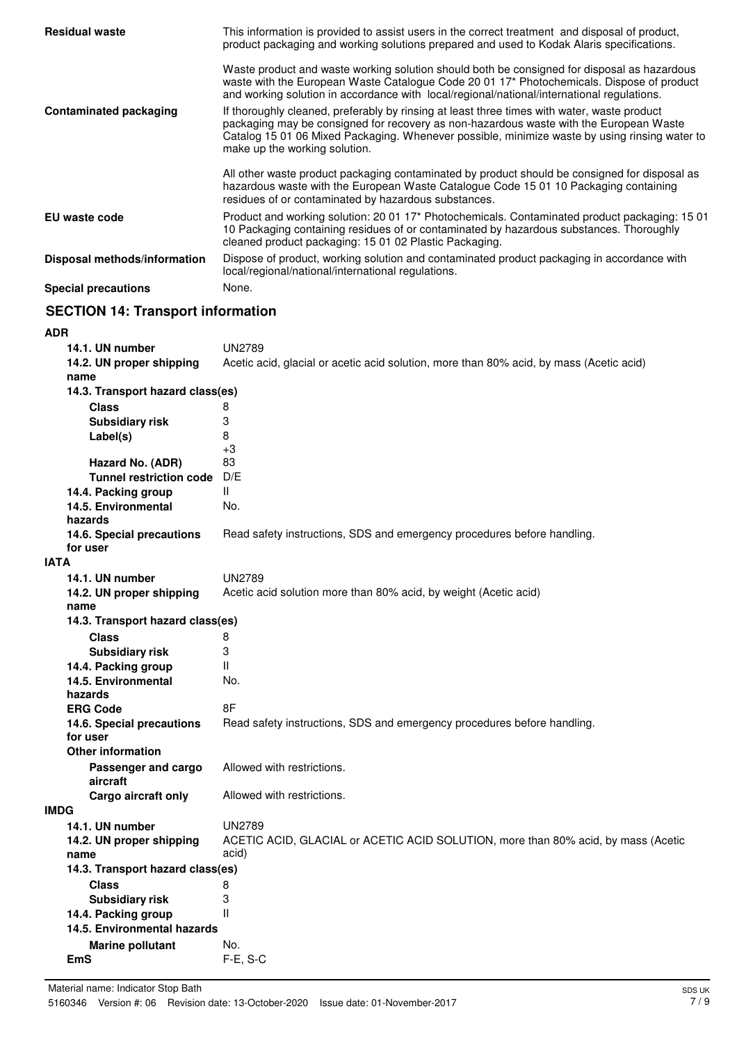| <b>Residual waste</b>        | This information is provided to assist users in the correct treatment and disposal of product,<br>product packaging and working solutions prepared and used to Kodak Alaris specifications.                                                                                                                             |
|------------------------------|-------------------------------------------------------------------------------------------------------------------------------------------------------------------------------------------------------------------------------------------------------------------------------------------------------------------------|
|                              | Waste product and waste working solution should both be consigned for disposal as hazardous<br>waste with the European Waste Catalogue Code 20 01 17* Photochemicals. Dispose of product<br>and working solution in accordance with local/regional/national/international regulations.                                  |
| Contaminated packaging       | If thoroughly cleaned, preferably by rinsing at least three times with water, waste product<br>packaging may be consigned for recovery as non-hazardous waste with the European Waste<br>Catalog 15 01 06 Mixed Packaging. Whenever possible, minimize waste by using rinsing water to<br>make up the working solution. |
|                              | All other waste product packaging contaminated by product should be consigned for disposal as<br>hazardous waste with the European Waste Catalogue Code 15 01 10 Packaging containing<br>residues of or contaminated by hazardous substances.                                                                           |
| EU waste code                | Product and working solution: 20 01 17* Photochemicals. Contaminated product packaging: 15 01<br>10 Packaging containing residues of or contaminated by hazardous substances. Thoroughly<br>cleaned product packaging: 15 01 02 Plastic Packaging.                                                                      |
| Disposal methods/information | Dispose of product, working solution and contaminated product packaging in accordance with<br>local/regional/national/international regulations.                                                                                                                                                                        |
| <b>Special precautions</b>   | None.                                                                                                                                                                                                                                                                                                                   |

# **SECTION 14: Transport information**

### **ADR**

| 14.1. UN number                       | <b>UN2789</b>                                                                           |
|---------------------------------------|-----------------------------------------------------------------------------------------|
| 14.2. UN proper shipping              | Acetic acid, glacial or acetic acid solution, more than 80% acid, by mass (Acetic acid) |
| name                                  |                                                                                         |
|                                       | 14.3. Transport hazard class(es)                                                        |
| <b>Class</b>                          | 8                                                                                       |
| Subsidiary risk                       | 3                                                                                       |
| Label(s)                              | 8                                                                                       |
|                                       | $+3$                                                                                    |
| Hazard No. (ADR)                      | 83                                                                                      |
|                                       | D/E<br><b>Tunnel restriction code</b>                                                   |
| 14.4. Packing group                   | Ш.                                                                                      |
| 14.5. Environmental<br>hazards        | No.                                                                                     |
| 14.6. Special precautions             | Read safety instructions, SDS and emergency procedures before handling.                 |
| for user                              |                                                                                         |
| <b>IATA</b>                           |                                                                                         |
| 14.1. UN number                       | <b>UN2789</b>                                                                           |
| 14.2. UN proper shipping<br>name      | Acetic acid solution more than 80% acid, by weight (Acetic acid)                        |
|                                       | 14.3. Transport hazard class(es)                                                        |
| <b>Class</b>                          | 8                                                                                       |
| <b>Subsidiary risk</b>                | 3                                                                                       |
| 14.4. Packing group                   | Ш                                                                                       |
| 14.5. Environmental                   | No.                                                                                     |
| hazards                               |                                                                                         |
| <b>ERG Code</b>                       | 8F                                                                                      |
| 14.6. Special precautions<br>for user | Read safety instructions, SDS and emergency procedures before handling.                 |
| <b>Other information</b>              |                                                                                         |
| Passenger and cargo<br>aircraft       | Allowed with restrictions.                                                              |
| Cargo aircraft only                   | Allowed with restrictions.                                                              |
| <b>IMDG</b>                           |                                                                                         |
| 14.1. UN number                       | UN2789                                                                                  |
| 14.2. UN proper shipping              | ACETIC ACID, GLACIAL or ACETIC ACID SOLUTION, more than 80% acid, by mass (Acetic       |
| name                                  | acid)                                                                                   |
|                                       | 14.3. Transport hazard class(es)                                                        |
| <b>Class</b>                          | 8                                                                                       |
| <b>Subsidiary risk</b>                | 3                                                                                       |
| 14.4. Packing group                   | Ш                                                                                       |
| 14.5. Environmental hazards           |                                                                                         |
| <b>Marine pollutant</b>               | No.                                                                                     |
| <b>EmS</b>                            | F-E, S-C                                                                                |
|                                       |                                                                                         |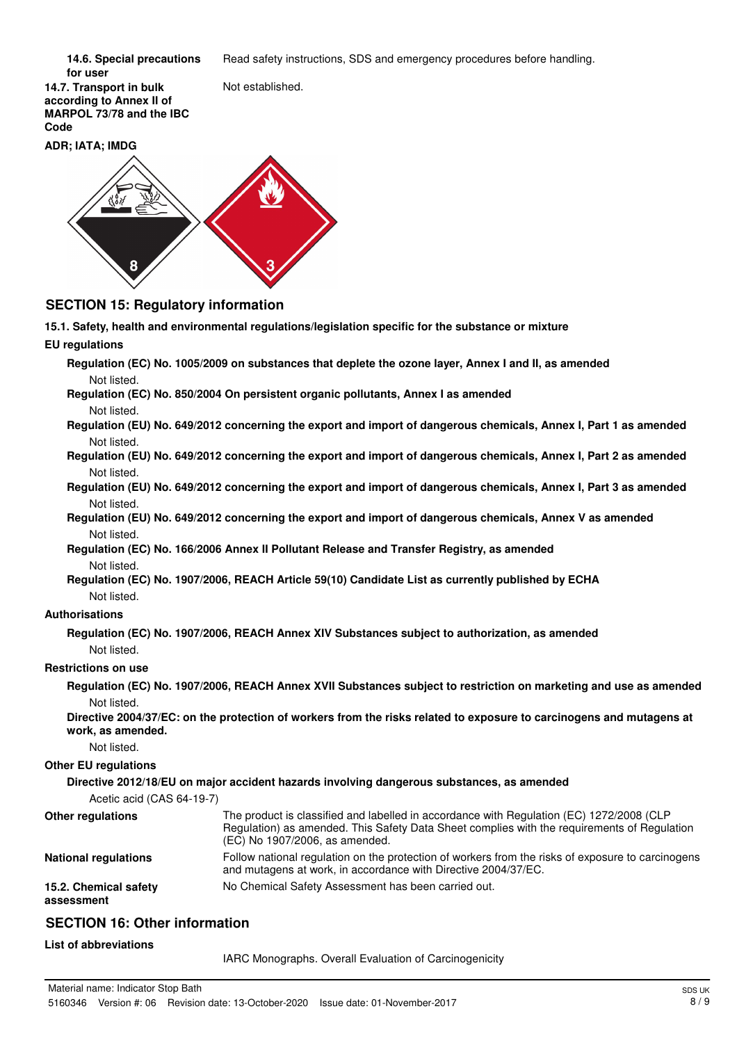**14.6. Special precautions** Read safety instructions, SDS and emergency procedures before handling.

**for user**

**14.7. Transport in bulk** Not established. **according to Annex II of MARPOL 73/78 and the IBC Code**



# **SECTION 15: Regulatory information**

**15.1. Safety, health and environmental regulations/legislation specific for the substance or mixture**

### **EU regulations**

| Regulation (EC) No. 1005/2009 on substances that deplete the ozone layer, Annex I and II, as amended |
|------------------------------------------------------------------------------------------------------|
| Not listed.                                                                                          |
| Regulation (EC) No. 850/2004 On persistent organic pollutants, Annex I as amended                    |

#### Not listed.

- **Regulation (EU) No. 649/2012 concerning the export and import of dangerous chemicals, Annex I, Part 1 as amended** Not listed.
- **Regulation (EU) No. 649/2012 concerning the export and import of dangerous chemicals, Annex I, Part 2 as amended** Not listed.
- **Regulation (EU) No. 649/2012 concerning the export and import of dangerous chemicals, Annex I, Part 3 as amended** Not listed.
- **Regulation (EU) No. 649/2012 concerning the export and import of dangerous chemicals, Annex V as amended** Not listed.

**Regulation (EC) No. 166/2006 Annex II Pollutant Release and Transfer Registry, as amended** Not listed.

**Regulation (EC) No. 1907/2006, REACH Article 59(10) Candidate List as currently published by ECHA** Not listed.

### **Authorisations**

```
Regulation (EC) No. 1907/2006, REACH Annex XIV Substances subject to authorization, as amended
Not listed.
```
### **Restrictions on use**

**Regulation (EC) No. 1907/2006, REACH Annex XVII Substances subject to restriction on marketing and use as amended** Not listed.

**Directive 2004/37/EC: on the protection of workers from the risks related to exposure to carcinogens and mutagens at work, as amended.**

Not listed.

### **Other EU regulations**

### **Directive 2012/18/EU on major accident hazards involving dangerous substances, as amended**

Acetic acid (CAS 64-19-7)

| <b>Other regulations</b>            | The product is classified and labelled in accordance with Regulation (EC) 1272/2008 (CLP<br>Regulation) as amended. This Safety Data Sheet complies with the requirements of Regulation<br>(EC) No 1907/2006, as amended. |
|-------------------------------------|---------------------------------------------------------------------------------------------------------------------------------------------------------------------------------------------------------------------------|
| <b>National regulations</b>         | Follow national regulation on the protection of workers from the risks of exposure to carcinogens<br>and mutagens at work, in accordance with Directive 2004/37/EC.                                                       |
| 15.2. Chemical safety<br>assessment | No Chemical Safety Assessment has been carried out.                                                                                                                                                                       |

### **SECTION 16: Other information**

### **List of abbreviations**

IARC Monographs. Overall Evaluation of Carcinogenicity